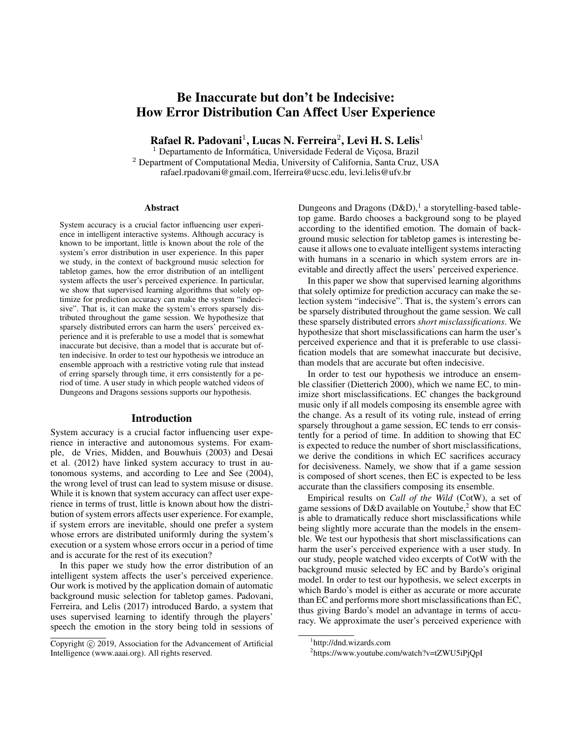# Be Inaccurate but don't be Indecisive: How Error Distribution Can Affect User Experience

Rafael R. Padovani $^1$ , Lucas N. Ferreira $^2$ , Levi H. S. Lelis $^1$ 

 $1$  Departamento de Informática, Universidade Federal de Viçosa, Brazil <sup>2</sup> Department of Computational Media, University of California, Santa Cruz, USA rafael.rpadovani@gmail.com, lferreira@ucsc.edu, levi.lelis@ufv.br

#### **Abstract**

System accuracy is a crucial factor influencing user experience in intelligent interactive systems. Although accuracy is known to be important, little is known about the role of the system's error distribution in user experience. In this paper we study, in the context of background music selection for tabletop games, how the error distribution of an intelligent system affects the user's perceived experience. In particular, we show that supervised learning algorithms that solely optimize for prediction accuracy can make the system "indecisive". That is, it can make the system's errors sparsely distributed throughout the game session. We hypothesize that sparsely distributed errors can harm the users' perceived experience and it is preferable to use a model that is somewhat inaccurate but decisive, than a model that is accurate but often indecisive. In order to test our hypothesis we introduce an ensemble approach with a restrictive voting rule that instead of erring sparsely through time, it errs consistently for a period of time. A user study in which people watched videos of Dungeons and Dragons sessions supports our hypothesis.

#### Introduction

System accuracy is a crucial factor influencing user experience in interactive and autonomous systems. For example, de Vries, Midden, and Bouwhuis (2003) and Desai et al. (2012) have linked system accuracy to trust in autonomous systems, and according to Lee and See (2004), the wrong level of trust can lead to system misuse or disuse. While it is known that system accuracy can affect user experience in terms of trust, little is known about how the distribution of system errors affects user experience. For example, if system errors are inevitable, should one prefer a system whose errors are distributed uniformly during the system's execution or a system whose errors occur in a period of time and is accurate for the rest of its execution?

In this paper we study how the error distribution of an intelligent system affects the user's perceived experience. Our work is motived by the application domain of automatic background music selection for tabletop games. Padovani, Ferreira, and Lelis (2017) introduced Bardo, a system that uses supervised learning to identify through the players' speech the emotion in the story being told in sessions of

Dungeons and Dragons  $(D&D)$ ,<sup>1</sup> a storytelling-based tabletop game. Bardo chooses a background song to be played according to the identified emotion. The domain of background music selection for tabletop games is interesting because it allows one to evaluate intelligent systems interacting with humans in a scenario in which system errors are inevitable and directly affect the users' perceived experience.

In this paper we show that supervised learning algorithms that solely optimize for prediction accuracy can make the selection system "indecisive". That is, the system's errors can be sparsely distributed throughout the game session. We call these sparsely distributed errors *short misclassifications*. We hypothesize that short misclassifications can harm the user's perceived experience and that it is preferable to use classification models that are somewhat inaccurate but decisive, than models that are accurate but often indecisive.

In order to test our hypothesis we introduce an ensemble classifier (Dietterich 2000), which we name EC, to minimize short misclassifications. EC changes the background music only if all models composing its ensemble agree with the change. As a result of its voting rule, instead of erring sparsely throughout a game session, EC tends to err consistently for a period of time. In addition to showing that EC is expected to reduce the number of short misclassifications, we derive the conditions in which EC sacrifices accuracy for decisiveness. Namely, we show that if a game session is composed of short scenes, then EC is expected to be less accurate than the classifiers composing its ensemble.

Empirical results on *Call of the Wild* (CotW), a set of game sessions of D&D available on Youtube, $^2$  show that EC is able to dramatically reduce short misclassifications while being slightly more accurate than the models in the ensemble. We test our hypothesis that short misclassifications can harm the user's perceived experience with a user study. In our study, people watched video excerpts of CotW with the background music selected by EC and by Bardo's original model. In order to test our hypothesis, we select excerpts in which Bardo's model is either as accurate or more accurate than EC and performs more short misclassifications than EC, thus giving Bardo's model an advantage in terms of accuracy. We approximate the user's perceived experience with

Copyright (c) 2019, Association for the Advancement of Artificial Intelligence (www.aaai.org). All rights reserved.

<sup>1</sup> http://dnd.wizards.com

<sup>2</sup> https://www.youtube.com/watch?v=tZWU5iPjQpI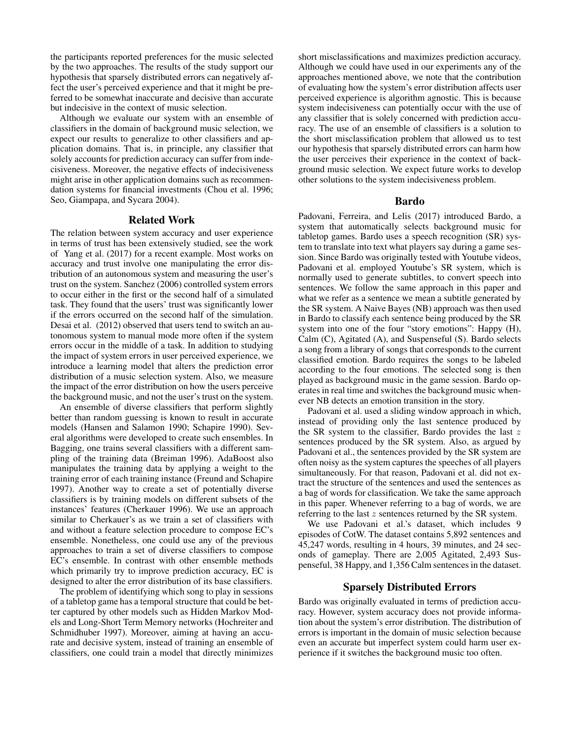the participants reported preferences for the music selected by the two approaches. The results of the study support our hypothesis that sparsely distributed errors can negatively affect the user's perceived experience and that it might be preferred to be somewhat inaccurate and decisive than accurate but indecisive in the context of music selection.

Although we evaluate our system with an ensemble of classifiers in the domain of background music selection, we expect our results to generalize to other classifiers and application domains. That is, in principle, any classifier that solely accounts for prediction accuracy can suffer from indecisiveness. Moreover, the negative effects of indecisiveness might arise in other application domains such as recommendation systems for financial investments (Chou et al. 1996; Seo, Giampapa, and Sycara 2004).

## Related Work

The relation between system accuracy and user experience in terms of trust has been extensively studied, see the work of Yang et al. (2017) for a recent example. Most works on accuracy and trust involve one manipulating the error distribution of an autonomous system and measuring the user's trust on the system. Sanchez (2006) controlled system errors to occur either in the first or the second half of a simulated task. They found that the users' trust was significantly lower if the errors occurred on the second half of the simulation. Desai et al. (2012) observed that users tend to switch an autonomous system to manual mode more often if the system errors occur in the middle of a task. In addition to studying the impact of system errors in user perceived experience, we introduce a learning model that alters the prediction error distribution of a music selection system. Also, we measure the impact of the error distribution on how the users perceive the background music, and not the user's trust on the system.

An ensemble of diverse classifiers that perform slightly better than random guessing is known to result in accurate models (Hansen and Salamon 1990; Schapire 1990). Several algorithms were developed to create such ensembles. In Bagging, one trains several classifiers with a different sampling of the training data (Breiman 1996). AdaBoost also manipulates the training data by applying a weight to the training error of each training instance (Freund and Schapire 1997). Another way to create a set of potentially diverse classifiers is by training models on different subsets of the instances' features (Cherkauer 1996). We use an approach similar to Cherkauer's as we train a set of classifiers with and without a feature selection procedure to compose EC's ensemble. Nonetheless, one could use any of the previous approaches to train a set of diverse classifiers to compose EC's ensemble. In contrast with other ensemble methods which primarily try to improve prediction accuracy, EC is designed to alter the error distribution of its base classifiers.

The problem of identifying which song to play in sessions of a tabletop game has a temporal structure that could be better captured by other models such as Hidden Markov Models and Long-Short Term Memory networks (Hochreiter and Schmidhuber 1997). Moreover, aiming at having an accurate and decisive system, instead of training an ensemble of classifiers, one could train a model that directly minimizes

short misclassifications and maximizes prediction accuracy. Although we could have used in our experiments any of the approaches mentioned above, we note that the contribution of evaluating how the system's error distribution affects user perceived experience is algorithm agnostic. This is because system indecisiveness can potentially occur with the use of any classifier that is solely concerned with prediction accuracy. The use of an ensemble of classifiers is a solution to the short misclassification problem that allowed us to test our hypothesis that sparsely distributed errors can harm how the user perceives their experience in the context of background music selection. We expect future works to develop other solutions to the system indecisiveness problem.

#### Bardo

Padovani, Ferreira, and Lelis (2017) introduced Bardo, a system that automatically selects background music for tabletop games. Bardo uses a speech recognition (SR) system to translate into text what players say during a game session. Since Bardo was originally tested with Youtube videos, Padovani et al. employed Youtube's SR system, which is normally used to generate subtitles, to convert speech into sentences. We follow the same approach in this paper and what we refer as a sentence we mean a subtitle generated by the SR system. A Naive Bayes (NB) approach was then used in Bardo to classify each sentence being produced by the SR system into one of the four "story emotions": Happy (H), Calm (C), Agitated (A), and Suspenseful (S). Bardo selects a song from a library of songs that corresponds to the current classified emotion. Bardo requires the songs to be labeled according to the four emotions. The selected song is then played as background music in the game session. Bardo operates in real time and switches the background music whenever NB detects an emotion transition in the story.

Padovani et al. used a sliding window approach in which, instead of providing only the last sentence produced by the SR system to the classifier, Bardo provides the last  $z$ sentences produced by the SR system. Also, as argued by Padovani et al., the sentences provided by the SR system are often noisy as the system captures the speeches of all players simultaneously. For that reason, Padovani et al. did not extract the structure of the sentences and used the sentences as a bag of words for classification. We take the same approach in this paper. Whenever referring to a bag of words, we are referring to the last z sentences returned by the SR system.

We use Padovani et al.'s dataset, which includes 9 episodes of CotW. The dataset contains 5,892 sentences and 45,247 words, resulting in 4 hours, 39 minutes, and 24 seconds of gameplay. There are 2,005 Agitated, 2,493 Suspenseful, 38 Happy, and 1,356 Calm sentences in the dataset.

# Sparsely Distributed Errors

Bardo was originally evaluated in terms of prediction accuracy. However, system accuracy does not provide information about the system's error distribution. The distribution of errors is important in the domain of music selection because even an accurate but imperfect system could harm user experience if it switches the background music too often.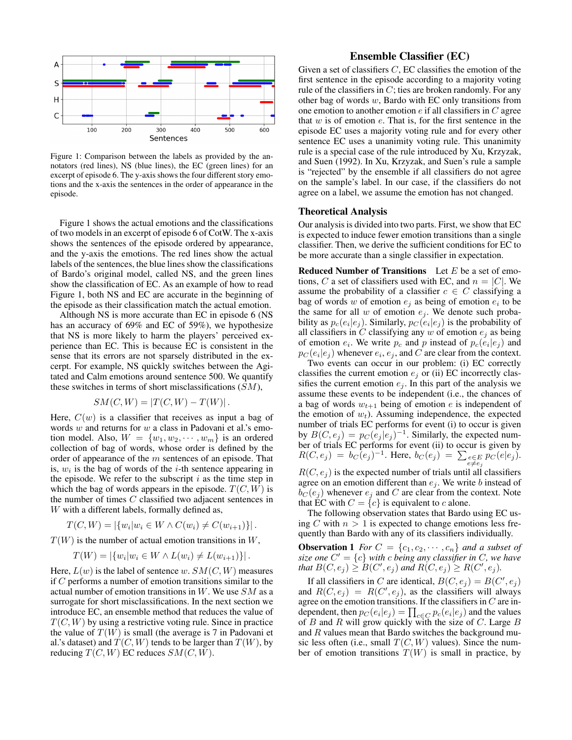

Figure 1: Comparison between the labels as provided by the annotators (red lines), NS (blue lines), the EC (green lines) for an excerpt of episode 6. The y-axis shows the four different story emotions and the x-axis the sentences in the order of appearance in the episode.

Figure 1 shows the actual emotions and the classifications of two models in an excerpt of episode 6 of CotW. The x-axis shows the sentences of the episode ordered by appearance, and the y-axis the emotions. The red lines show the actual labels of the sentences, the blue lines show the classifications of Bardo's original model, called NS, and the green lines show the classification of EC. As an example of how to read Figure 1, both NS and EC are accurate in the beginning of the episode as their classification match the actual emotion.

Although NS is more accurate than EC in episode 6 (NS has an accuracy of 69% and EC of 59%), we hypothesize that NS is more likely to harm the players' perceived experience than EC. This is because EC is consistent in the sense that its errors are not sparsely distributed in the excerpt. For example, NS quickly switches between the Agitated and Calm emotions around sentence 500. We quantify these switches in terms of short misclassifications  $(SM)$ ,

$$
SM(C, W) = |T(C, W) - T(W)|.
$$

Here,  $C(w)$  is a classifier that receives as input a bag of words  $w$  and returns for  $w$  a class in Padovani et al.'s emotion model. Also,  $W = \{w_1, w_2, \dots, w_m\}$  is an ordered collection of bag of words, whose order is defined by the order of appearance of the m sentences of an episode. That is,  $w_i$  is the bag of words of the *i*-th sentence appearing in the episode. We refer to the subscript  $i$  as the time step in which the bag of words appears in the episode.  $T(C, W)$  is the number of times C classified two adjacent sentences in W with a different labels, formally defined as,

$$
T(C, W) = |\{w_i | w_i \in W \land C(w_i) \neq C(w_{i+1})\}|.
$$

 $T(W)$  is the number of actual emotion transitions in W,

$$
T(W) = |\{w_i | w_i \in W \land L(w_i) \neq L(w_{i+1})\}|.
$$

Here,  $L(w)$  is the label of sentence w.  $SM(C, W)$  measures if  $C$  performs a number of emotion transitions similar to the actual number of emotion transitions in  $W$ . We use  $SM$  as a surrogate for short misclassifications. In the next section we introduce EC, an ensemble method that reduces the value of  $T(C, W)$  by using a restrictive voting rule. Since in practice the value of  $T(W)$  is small (the average is 7 in Padovani et al.'s dataset) and  $T(C, W)$  tends to be larger than  $T(W)$ , by reducing  $T(C, W)$  EC reduces  $SM(C, W)$ .

# Ensemble Classifier (EC)

Given a set of classifiers  $C$ , EC classifies the emotion of the first sentence in the episode according to a majority voting rule of the classifiers in  $C$ ; ties are broken randomly. For any other bag of words  $w$ , Bardo with EC only transitions from one emotion to another emotion  $e$  if all classifiers in  $C$  agree that  $w$  is of emotion  $e$ . That is, for the first sentence in the episode EC uses a majority voting rule and for every other sentence EC uses a unanimity voting rule. This unanimity rule is a special case of the rule introduced by Xu, Krzyzak, and Suen (1992). In Xu, Krzyzak, and Suen's rule a sample is "rejected" by the ensemble if all classifiers do not agree on the sample's label. In our case, if the classifiers do not agree on a label, we assume the emotion has not changed.

#### Theoretical Analysis

Our analysis is divided into two parts. First, we show that EC is expected to induce fewer emotion transitions than a single classifier. Then, we derive the sufficient conditions for EC to be more accurate than a single classifier in expectation.

**Reduced Number of Transitions** Let  $E$  be a set of emotions, C a set of classifiers used with EC, and  $n = |C|$ . We assume the probability of a classifier  $c \in C$  classifying a bag of words w of emotion  $e_j$  as being of emotion  $e_i$  to be the same for all  $w$  of emotion  $e_i$ . We denote such probability as  $p_c(e_i|e_j)$ . Similarly,  $p_c(e_i|e_j)$  is the probability of all classifiers in C classifying any  $w$  of emotion  $e_j$  as being of emotion  $e_i$ . We write  $p_c$  and p instead of  $p_c(e_i|e_j)$  and  $p_C(e_i|e_j)$  whenever  $e_i, e_j$ , and C are clear from the context.

Two events can occur in our problem: (i) EC correctly classifies the current emotion  $e_i$  or (ii) EC incorrectly classifies the current emotion  $e_i$ . In this part of the analysis we assume these events to be independent (i.e., the chances of a bag of words  $w_{t+1}$  being of emotion e is independent of the emotion of  $w_t$ ). Assuming independence, the expected number of trials EC performs for event (i) to occur is given by  $B(C, e_j) = p_C(\overline{e_j} | e_j)^{-1}$ . Similarly, the expected number of trials EC performs for event (ii) to occur is given by  $R(C, e_j) = b_C (e_j)^{-1}$ . Here,  $b_C(e_j) = \sum_{e \in E} p_C(e|e_j)$ .  $R(C, e_j)$  is the expected number of trials until all classifiers agree on an emotion different than  $e_i$ . We write b instead of  $b_C(e_i)$  whenever  $e_i$  and C are clear from the context. Note

that EC with  $C = \{c\}$  is equivalent to c alone. The following observation states that Bardo using EC using C with  $n > 1$  is expected to change emotions less frequently than Bardo with any of its classifiers individually.

**Observation 1** *For*  $C = \{c_1, c_2, \dots, c_n\}$  *and a subset of* size one  $C' = \{c\}$  with c being any classifier in C, we have *that*  $B(C, e_j) \geq B(C', e_j)$  and  $R(C, e_j) \geq R(C', e_j)$ .

If all classifiers in C are identical,  $B(C, e_j) = B(C', e_j)$ and  $R(C, e_j) = R(C', e_j)$ , as the classifiers will always agree on the emotion transitions. If the classifiers in  $C$  are independent, then  $p_C(e_i|e_j) = \prod_{c \in C} p_c(e_i|e_j)$  and the values of  $B$  and  $R$  will grow quickly with the size of  $C$ . Large  $B$ and  $R$  values mean that Bardo switches the background music less often (i.e., small  $T(C, W)$  values). Since the number of emotion transitions  $T(W)$  is small in practice, by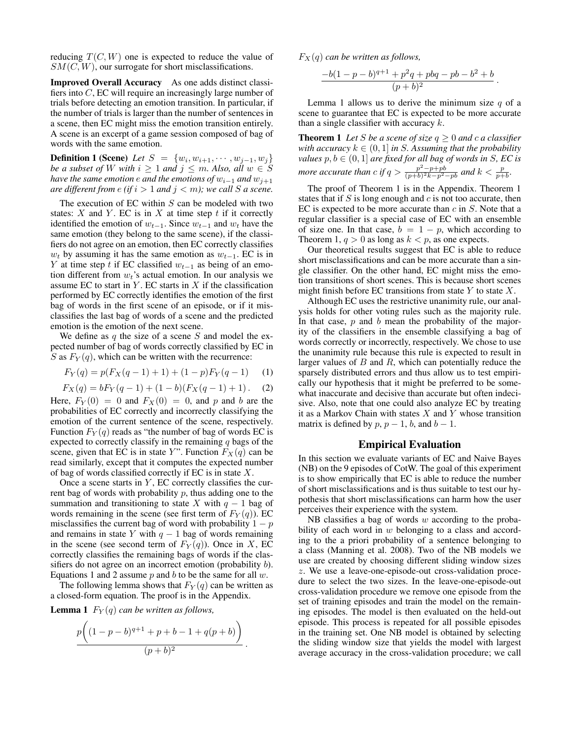reducing  $T(C, W)$  one is expected to reduce the value of  $SM(C, W)$ , our surrogate for short misclassifications.

Improved Overall Accuracy As one adds distinct classifiers into C, EC will require an increasingly large number of trials before detecting an emotion transition. In particular, if the number of trials is larger than the number of sentences in a scene, then EC might miss the emotion transition entirely. A scene is an excerpt of a game session composed of bag of words with the same emotion.

**Definition 1 (Scene)** *Let*  $S = \{w_i, w_{i+1}, \cdots, w_{j-1}, w_j\}$ *be a subset of* W *with*  $i \geq 1$  *and*  $j \leq m$ *. Also, all*  $w \in S$ *have the same emotion e and the emotions of*  $w_{i-1}$  *and*  $w_{j+1}$ *are different from e (if*  $i > 1$  *and*  $j < m$ *); we call S a scene.* 

The execution of EC within  $S$  can be modeled with two states:  $X$  and  $Y$ . EC is in  $X$  at time step  $t$  if it correctly identified the emotion of  $w_{t-1}$ . Since  $w_{t-1}$  and  $w_t$  have the same emotion (they belong to the same scene), if the classifiers do not agree on an emotion, then EC correctly classifies  $w_t$  by assuming it has the same emotion as  $w_{t-1}$ . EC is in Y at time step t if EC classified  $w_{t-1}$  as being of an emotion different from  $w_t$ 's actual emotion. In our analysis we assume EC to start in  $Y$ . EC starts in  $X$  if the classification performed by EC correctly identifies the emotion of the first bag of words in the first scene of an episode, or if it misclassifies the last bag of words of a scene and the predicted emotion is the emotion of the next scene.

We define as  $q$  the size of a scene  $S$  and model the expected number of bag of words correctly classified by EC in S as  $F_Y(q)$ , which can be written with the recurrence:

$$
F_Y(q) = p(F_X(q-1) + 1) + (1-p)F_Y(q-1)
$$
 (1)

 $F_X(q) = bF_Y(q-1) + (1-b)(F_X(q-1) + 1)$ . (2)

Here,  $F_Y(0) = 0$  and  $F_X(0) = 0$ , and p and b are the probabilities of EC correctly and incorrectly classifying the emotion of the current sentence of the scene, respectively. Function  $F_Y(q)$  reads as "the number of bag of words EC is expected to correctly classify in the remaining  $q$  bags of the scene, given that EC is in state Y". Function  $F_X(q)$  can be read similarly, except that it computes the expected number of bag of words classified correctly if  $EC$  is in state  $X$ .

Once a scene starts in  $Y$ , EC correctly classifies the current bag of words with probability  $p$ , thus adding one to the summation and transitioning to state X with  $q - 1$  bag of words remaining in the scene (see first term of  $F_Y(q)$ ). EC misclassifies the current bag of word with probability  $1 - p$ and remains in state Y with  $q - 1$  bag of words remaining in the scene (see second term of  $F_Y(q)$ ). Once in X, EC correctly classifies the remaining bags of words if the classifiers do not agree on an incorrect emotion (probability b). Equations 1 and 2 assume  $p$  and  $b$  to be the same for all  $w$ .

The following lemma shows that  $F_Y(q)$  can be written as a closed-form equation. The proof is in the Appendix.

**Lemma 1**  $F_Y(q)$  *can be written as follows,* 

$$
\frac{p\left((1-p-b)^{q+1} + p + b - 1 + q(p+b)\right)}{(p+b)^2}
$$

.

 $F_X(q)$  *can be written as follows,* 

$$
\frac{-b(1-p-b)^{q+1}+p^2q+pbq-pb-b^2+b}{(p+b)^2}.
$$

Lemma 1 allows us to derive the minimum size  $q$  of a scene to guarantee that EC is expected to be more accurate than a single classifier with accuracy  $k$ .

**Theorem 1** Let *S* be a scene of size  $q \ge 0$  and c a classifier *with accuracy*  $k \in (0, 1]$  *in S. Assuming that the probability values*  $p, b \in (0, 1]$  *are fixed for all bag of words in S, EC is more accurate than c if*  $q > \frac{p^2 - p + pb}{(p+b)^2k - p^2 - pb}$  *and*  $k < \frac{p}{p+b}$ .

The proof of Theorem 1 is in the Appendix. Theorem 1 states that if  $S$  is long enough and  $c$  is not too accurate, then EC is expected to be more accurate than  $c$  in  $S$ . Note that a regular classifier is a special case of EC with an ensemble of size one. In that case,  $b = 1 - p$ , which according to Theorem 1,  $q > 0$  as long as  $k < p$ , as one expects.

Our theoretical results suggest that EC is able to reduce short misclassifications and can be more accurate than a single classifier. On the other hand, EC might miss the emotion transitions of short scenes. This is because short scenes might finish before EC transitions from state  $Y$  to state  $X$ .

Although EC uses the restrictive unanimity rule, our analysis holds for other voting rules such as the majority rule. In that case,  $p$  and  $b$  mean the probability of the majority of the classifiers in the ensemble classifying a bag of words correctly or incorrectly, respectively. We chose to use the unanimity rule because this rule is expected to result in larger values of  $B$  and  $R$ , which can potentially reduce the sparsely distributed errors and thus allow us to test empirically our hypothesis that it might be preferred to be somewhat inaccurate and decisive than accurate but often indecisive. Also, note that one could also analyze EC by treating it as a Markov Chain with states  $X$  and  $Y$  whose transition matrix is defined by  $p, p - 1, b$ , and  $b - 1$ .

# Empirical Evaluation

In this section we evaluate variants of EC and Naive Bayes (NB) on the 9 episodes of CotW. The goal of this experiment is to show empirically that EC is able to reduce the number of short misclassifications and is thus suitable to test our hypothesis that short misclassifications can harm how the user perceives their experience with the system.

NB classifies a bag of words  $w$  according to the probability of each word in  $w$  belonging to a class and according to the a priori probability of a sentence belonging to a class (Manning et al. 2008). Two of the NB models we use are created by choosing different sliding window sizes z. We use a leave-one-episode-out cross-validation procedure to select the two sizes. In the leave-one-episode-out cross-validation procedure we remove one episode from the set of training episodes and train the model on the remaining episodes. The model is then evaluated on the held-out episode. This process is repeated for all possible episodes in the training set. One NB model is obtained by selecting the sliding window size that yields the model with largest average accuracy in the cross-validation procedure; we call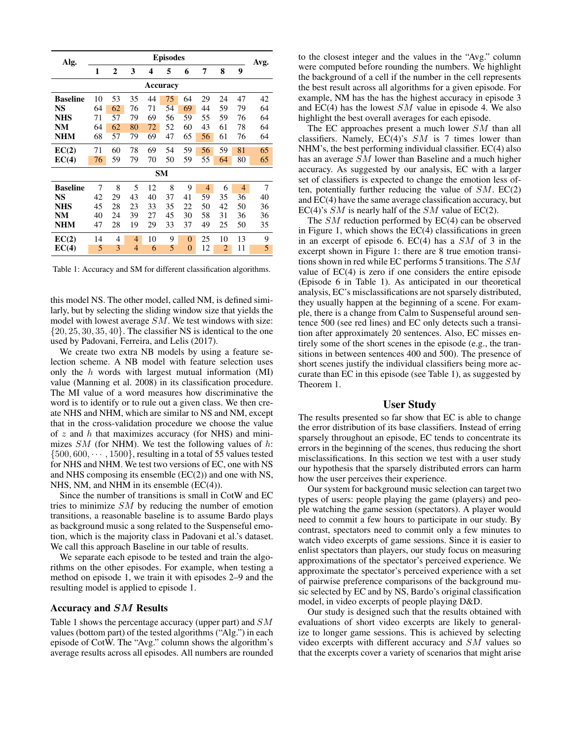| Alg.            | <b>Episodes</b> |                |                |    |    |          |    |                |                |      |  |
|-----------------|-----------------|----------------|----------------|----|----|----------|----|----------------|----------------|------|--|
|                 | 1               | $\overline{2}$ | 3              | 4  | 5  | 6        | 7  | 8              | 9              | Avg. |  |
| Accuracy        |                 |                |                |    |    |          |    |                |                |      |  |
| <b>Baseline</b> | 10              | 53             | 35             | 44 | 75 | 64       | 29 | 24             | 47             | 42   |  |
| NS              | 64              | 62             | 76             | 71 | 54 | 69       | 44 | 59             | 79             | 64   |  |
| <b>NHS</b>      | 71              | 57             | 79             | 69 | 56 | 59       | 55 | 59             | 76             | 64   |  |
| <b>NM</b>       | 64              | 62             | 80             | 72 | 52 | 60       | 43 | 61             | 78             | 64   |  |
| <b>NHM</b>      | 68              | 57             | 79             | 69 | 47 | 65       | 56 | 61             | 76             | 64   |  |
| EC(2)           | 71              | 60             | 78             | 69 | 54 | 59       | 56 | 59             | 81             | 65   |  |
| EC(4)           | 76              | 59             | 79             | 70 | 50 | 59       | 55 | 64             | 80             | 65   |  |
| <b>SM</b>       |                 |                |                |    |    |          |    |                |                |      |  |
| <b>Baseline</b> | 7               | 8              | 5              | 12 | 8  | 9        | 4  | 6              | $\overline{4}$ | 7    |  |
| NS              | 42              | 29             | 43             | 40 | 37 | 41       | 59 | 35             | 36             | 40   |  |
| <b>NHS</b>      | 45              | 28             | 23             | 33 | 35 | 22       | 50 | 42             | 50             | 36   |  |
| <b>NM</b>       | 40              | 24             | 39             | 27 | 45 | 30       | 58 | 31             | 36             | 36   |  |
| <b>NHM</b>      | 47              | 28             | 19             | 29 | 33 | 37       | 49 | 25             | 50             | 35   |  |
| EC(2)           | 14              | 4              | $\overline{4}$ | 10 | 9  | $\theta$ | 25 | 10             | 13             | 9    |  |
| EC(4)           | 5               | 3              | 4              | 6  | 5  | $\theta$ | 12 | $\overline{2}$ | 11             | 5    |  |

Table 1: Accuracy and SM for different classification algorithms.

this model NS. The other model, called NM, is defined similarly, but by selecting the sliding window size that yields the model with lowest average SM. We test windows with size:  $\{20, 25, 30, 35, 40\}$ . The classifier NS is identical to the one used by Padovani, Ferreira, and Lelis (2017).

We create two extra NB models by using a feature selection scheme. A NB model with feature selection uses only the  $h$  words with largest mutual information (MI) value (Manning et al. 2008) in its classification procedure. The MI value of a word measures how discriminative the word is to identify or to rule out a given class. We then create NHS and NHM, which are similar to NS and NM, except that in the cross-validation procedure we choose the value of z and h that maximizes accuracy (for NHS) and minimizes  $SM$  (for NHM). We test the following values of h:  $\{500, 600, \cdots, 1500\}$ , resulting in a total of 55 values tested for NHS and NHM. We test two versions of EC, one with NS and NHS composing its ensemble (EC(2)) and one with NS, NHS, NM, and NHM in its ensemble (EC(4)).

Since the number of transitions is small in CotW and EC tries to minimize SM by reducing the number of emotion transitions, a reasonable baseline is to assume Bardo plays as background music a song related to the Suspenseful emotion, which is the majority class in Padovani et al.'s dataset. We call this approach Baseline in our table of results.

We separate each episode to be tested and train the algorithms on the other episodes. For example, when testing a method on episode 1, we train it with episodes 2–9 and the resulting model is applied to episode 1.

#### Accuracy and SM Results

Table 1 shows the percentage accuracy (upper part) and SM values (bottom part) of the tested algorithms ("Alg.") in each episode of CotW. The "Avg." column shows the algorithm's average results across all episodes. All numbers are rounded

to the closest integer and the values in the "Avg." column were computed before rounding the numbers. We highlight the background of a cell if the number in the cell represents the best result across all algorithms for a given episode. For example, NM has the has the highest accuracy in episode 3 and  $EC(4)$  has the lowest  $SM$  value in episode 4. We also highlight the best overall averages for each episode.

The EC approaches present a much lower SM than all classifiers. Namely,  $EC(4)$ 's  $SM$  is 7 times lower than NHM's, the best performing individual classifier. EC(4) also has an average SM lower than Baseline and a much higher accuracy. As suggested by our analysis, EC with a larger set of classifiers is expected to change the emotion less often, potentially further reducing the value of  $SM$ .  $EC(2)$ and EC(4) have the same average classification accuracy, but EC(4)'s  $SM$  is nearly half of the  $SM$  value of EC(2).

The SM reduction performed by EC(4) can be observed in Figure 1, which shows the EC(4) classifications in green in an excerpt of episode 6. EC(4) has a  $SM$  of 3 in the excerpt shown in Figure 1: there are 8 true emotion transitions shown in red while EC performs 5 transitions. The SM value of EC(4) is zero if one considers the entire episode (Episode 6 in Table 1). As anticipated in our theoretical analysis, EC's misclassifications are not sparsely distributed, they usually happen at the beginning of a scene. For example, there is a change from Calm to Suspenseful around sentence 500 (see red lines) and EC only detects such a transition after approximately 20 sentences. Also, EC misses entirely some of the short scenes in the episode (e.g., the transitions in between sentences 400 and 500). The presence of short scenes justify the individual classifiers being more accurate than EC in this episode (see Table 1), as suggested by Theorem 1.

## User Study

The results presented so far show that EC is able to change the error distribution of its base classifiers. Instead of erring sparsely throughout an episode, EC tends to concentrate its errors in the beginning of the scenes, thus reducing the short misclassifications. In this section we test with a user study our hypothesis that the sparsely distributed errors can harm how the user perceives their experience.

Our system for background music selection can target two types of users: people playing the game (players) and people watching the game session (spectators). A player would need to commit a few hours to participate in our study. By contrast, spectators need to commit only a few minutes to watch video excerpts of game sessions. Since it is easier to enlist spectators than players, our study focus on measuring approximations of the spectator's perceived experience. We approximate the spectator's perceived experience with a set of pairwise preference comparisons of the background music selected by EC and by NS, Bardo's original classification model, in video excerpts of people playing D&D.

Our study is designed such that the results obtained with evaluations of short video excerpts are likely to generalize to longer game sessions. This is achieved by selecting video excerpts with different accuracy and SM values so that the excerpts cover a variety of scenarios that might arise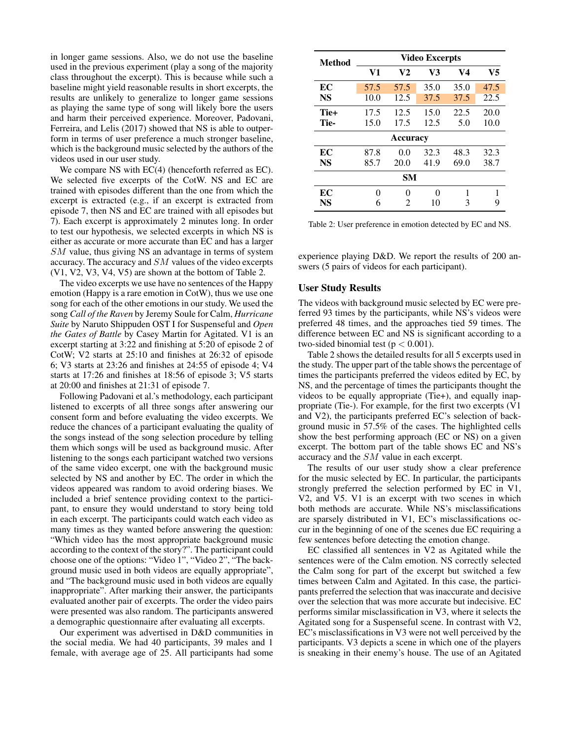in longer game sessions. Also, we do not use the baseline used in the previous experiment (play a song of the majority class throughout the excerpt). This is because while such a baseline might yield reasonable results in short excerpts, the results are unlikely to generalize to longer game sessions as playing the same type of song will likely bore the users and harm their perceived experience. Moreover, Padovani, Ferreira, and Lelis (2017) showed that NS is able to outperform in terms of user preference a much stronger baseline, which is the background music selected by the authors of the videos used in our user study.

We compare NS with EC(4) (henceforth referred as EC). We selected five excerpts of the CotW. NS and EC are trained with episodes different than the one from which the excerpt is extracted (e.g., if an excerpt is extracted from episode 7, then NS and EC are trained with all episodes but 7). Each excerpt is approximately 2 minutes long. In order to test our hypothesis, we selected excerpts in which NS is either as accurate or more accurate than EC and has a larger SM value, thus giving NS an advantage in terms of system accuracy. The accuracy and SM values of the video excerpts (V1, V2, V3, V4, V5) are shown at the bottom of Table 2.

The video excerpts we use have no sentences of the Happy emotion (Happy is a rare emotion in CotW), thus we use one song for each of the other emotions in our study. We used the song *Call of the Raven* by Jeremy Soule for Calm, *Hurricane Suite* by Naruto Shippuden OST I for Suspenseful and *Open the Gates of Battle* by Casey Martin for Agitated. V1 is an excerpt starting at 3:22 and finishing at 5:20 of episode 2 of CotW; V2 starts at 25:10 and finishes at 26:32 of episode 6; V3 starts at 23:26 and finishes at 24:55 of episode 4; V4 starts at 17:26 and finishes at 18:56 of episode 3; V5 starts at 20:00 and finishes at 21:31 of episode 7.

Following Padovani et al.'s methodology, each participant listened to excerpts of all three songs after answering our consent form and before evaluating the video excerpts. We reduce the chances of a participant evaluating the quality of the songs instead of the song selection procedure by telling them which songs will be used as background music. After listening to the songs each participant watched two versions of the same video excerpt, one with the background music selected by NS and another by EC. The order in which the videos appeared was random to avoid ordering biases. We included a brief sentence providing context to the participant, to ensure they would understand to story being told in each excerpt. The participants could watch each video as many times as they wanted before answering the question: "Which video has the most appropriate background music according to the context of the story?". The participant could choose one of the options: "Video 1", "Video 2", "The background music used in both videos are equally appropriate", and "The background music used in both videos are equally inappropriate". After marking their answer, the participants evaluated another pair of excerpts. The order the video pairs were presented was also random. The participants answered a demographic questionnaire after evaluating all excerpts.

Our experiment was advertised in D&D communities in the social media. We had 40 participants, 39 males and 1 female, with average age of 25. All participants had some

| Method          | <b>Video Excerpts</b> |                |      |      |      |  |  |  |  |  |
|-----------------|-----------------------|----------------|------|------|------|--|--|--|--|--|
|                 | V1                    | V <sub>2</sub> | V3   | V4   | V5   |  |  |  |  |  |
| EC              | 57.5                  | 57.5           | 35.0 | 35.0 | 47.5 |  |  |  |  |  |
| <b>NS</b>       | 10.0                  | 12.5           | 37.5 | 37.5 | 22.5 |  |  |  |  |  |
| Tie+            | 17.5                  | 12.5           | 15.0 | 22.5 | 20.0 |  |  |  |  |  |
| Tie-            | 15.0                  | 17.5           | 12.5 | 5.0  | 10.0 |  |  |  |  |  |
| <b>Accuracy</b> |                       |                |      |      |      |  |  |  |  |  |
| EC              | 87.8                  | 0.0            | 32.3 | 48.3 | 32.3 |  |  |  |  |  |
| <b>NS</b>       | 85.7                  | 20.0           | 41.9 | 69.0 | 38.7 |  |  |  |  |  |
| SM              |                       |                |      |      |      |  |  |  |  |  |
| EC              | 0                     | 0              | 0    | 1    |      |  |  |  |  |  |
| NS              | 6                     | 2              | 10   | 3    | 9    |  |  |  |  |  |

Table 2: User preference in emotion detected by EC and NS.

experience playing D&D. We report the results of 200 answers (5 pairs of videos for each participant).

## User Study Results

The videos with background music selected by EC were preferred 93 times by the participants, while NS's videos were preferred 48 times, and the approaches tied 59 times. The difference between EC and NS is significant according to a two-sided binomial test ( $p < 0.001$ ).

Table 2 shows the detailed results for all 5 excerpts used in the study. The upper part of the table shows the percentage of times the participants preferred the videos edited by EC, by NS, and the percentage of times the participants thought the videos to be equally appropriate (Tie+), and equally inappropriate (Tie-). For example, for the first two excerpts (V1 and V2), the participants preferred EC's selection of background music in 57.5% of the cases. The highlighted cells show the best performing approach (EC or NS) on a given excerpt. The bottom part of the table shows EC and NS's accuracy and the SM value in each excerpt.

The results of our user study show a clear preference for the music selected by EC. In particular, the participants strongly preferred the selection performed by EC in V1, V2, and V5. V1 is an excerpt with two scenes in which both methods are accurate. While NS's misclassifications are sparsely distributed in V1, EC's misclassifications occur in the beginning of one of the scenes due EC requiring a few sentences before detecting the emotion change.

EC classified all sentences in V2 as Agitated while the sentences were of the Calm emotion. NS correctly selected the Calm song for part of the excerpt but switched a few times between Calm and Agitated. In this case, the participants preferred the selection that was inaccurate and decisive over the selection that was more accurate but indecisive. EC performs similar misclassification in V3, where it selects the Agitated song for a Suspenseful scene. In contrast with V2, EC's misclassifications in V3 were not well perceived by the participants. V3 depicts a scene in which one of the players is sneaking in their enemy's house. The use of an Agitated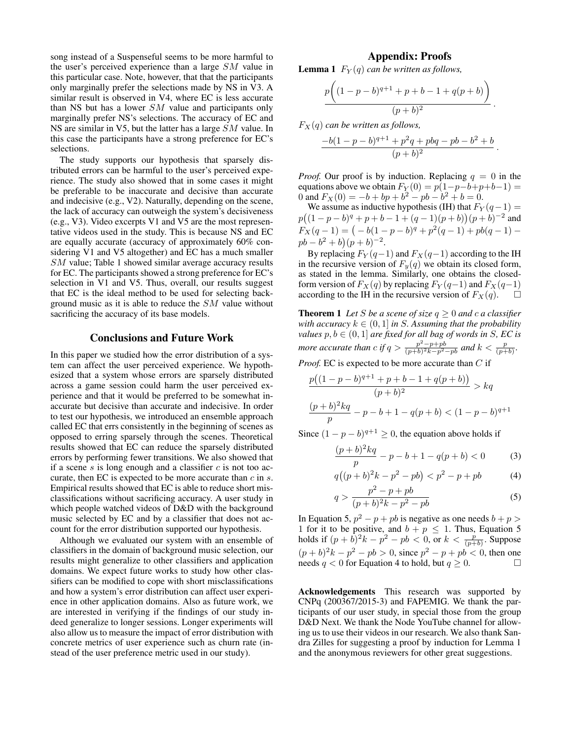song instead of a Suspenseful seems to be more harmful to the user's perceived experience than a large SM value in this particular case. Note, however, that that the participants only marginally prefer the selections made by NS in V3. A similar result is observed in V4, where EC is less accurate than NS but has a lower SM value and participants only marginally prefer NS's selections. The accuracy of EC and NS are similar in V5, but the latter has a large SM value. In this case the participants have a strong preference for EC's selections.

The study supports our hypothesis that sparsely distributed errors can be harmful to the user's perceived experience. The study also showed that in some cases it might be preferable to be inaccurate and decisive than accurate and indecisive (e.g., V2). Naturally, depending on the scene, the lack of accuracy can outweigh the system's decisiveness (e.g., V3). Video excerpts V1 and V5 are the most representative videos used in the study. This is because NS and EC are equally accurate (accuracy of approximately 60% considering V1 and V5 altogether) and EC has a much smaller SM value; Table 1 showed similar average accuracy results for EC. The participants showed a strong preference for EC's selection in V1 and V5. Thus, overall, our results suggest that EC is the ideal method to be used for selecting background music as it is able to reduce the SM value without sacrificing the accuracy of its base models.

# Conclusions and Future Work

In this paper we studied how the error distribution of a system can affect the user perceived experience. We hypothesized that a system whose errors are sparsely distributed across a game session could harm the user perceived experience and that it would be preferred to be somewhat inaccurate but decisive than accurate and indecisive. In order to test our hypothesis, we introduced an ensemble approach called EC that errs consistently in the beginning of scenes as opposed to erring sparsely through the scenes. Theoretical results showed that EC can reduce the sparsely distributed errors by performing fewer transitions. We also showed that if a scene s is long enough and a classifier  $c$  is not too accurate, then EC is expected to be more accurate than  $c$  in  $s$ . Empirical results showed that EC is able to reduce short misclassifications without sacrificing accuracy. A user study in which people watched videos of D&D with the background music selected by EC and by a classifier that does not account for the error distribution supported our hypothesis.

Although we evaluated our system with an ensemble of classifiers in the domain of background music selection, our results might generalize to other classifiers and application domains. We expect future works to study how other classifiers can be modified to cope with short misclassifications and how a system's error distribution can affect user experience in other application domains. Also as future work, we are interested in verifying if the findings of our study indeed generalize to longer sessions. Longer experiments will also allow us to measure the impact of error distribution with concrete metrics of user experience such as churn rate (instead of the user preference metric used in our study).

## Appendix: Proofs

**Lemma 1**  $F_Y(q)$  *can be written as follows,* 

$$
\frac{p\bigg((1-p-b)^{q+1}+p+b-1+q(p+b)\bigg)}{(p+b)^2}.
$$

 $F_X(q)$  *can be written as follows,* 

$$
\frac{-b(1-p-b)^{q+1}+p^2q+pbq-pb-b^2+b}{(p+b)^2}.
$$

*Proof.* Our proof is by induction. Replacing  $q = 0$  in the equations above we obtain  $F_Y(0) = p(1-p-b+p+b-1) =$ 0 and  $F_X(0) = -b + bp + b^2 - pb - b^2 + b = 0.$ 

We assume as inductive hypothesis (IH) that  $F_Y(q-1)$  =  $p((1-p-b)^q+p+b-1+(q-1)(p+b))(p+b)^{-2}$  and  $F_X(q-1) = (-b(1-p-b)^q + p^2(q-1) + pb(q-1)$  $pb - b^2 + b^2 + (p + b)^{-2}.$ 

By replacing  $F_Y(q-1)$  and  $F_X(q-1)$  according to the IH in the recursive version of  $F_y(q)$  we obtain its closed form, as stated in the lemma. Similarly, one obtains the closedform version of  $F_X(q)$  by replacing  $F_Y(q-1)$  and  $F_X(q-1)$ according to the IH in the recursive version of  $F_X(q)$ .  $\Box$ 

**Theorem 1** Let *S* be a scene of size  $q \geq 0$  and c a classifier *with accuracy*  $k \in (0, 1]$  *in S. Assuming that the probability values*  $p, b \in (0,1]$  *are fixed for all bag of words in S, EC is more accurate than*  $c$  *if*  $q > \frac{p^2 - p + pb}{(p+b)^2k - p^2 - pb}$  *and*  $k < \frac{p}{(p+b)}$ *.* 

*Proof.* EC is expected to be more accurate than C if

$$
\frac{p((1-p-b)^{q+1} + p + b - 1 + q(p+b))}{(p+b)^2} > kq
$$
  

$$
\frac{(p+b)^2kq}{p} - p - b + 1 - q(p+b) < (1-p-b)^{q+1}
$$

Since  $(1 - p - b)^{q+1} \ge 0$ , the equation above holds if

$$
\frac{(p+b)^2 kq}{p} - p - b + 1 - q(p+b) < 0 \tag{3}
$$

$$
q((p+b)^2k - p^2 - pb) < p^2 - p + pb \tag{4}
$$

$$
q > \frac{p^2 - p + pb}{(p + b)^2 k - p^2 - pb}
$$
 (5)

In Equation 5,  $p^2 - p + pb$  is negative as one needs  $b + p >$ 1 for it to be positive, and  $b + p \le 1$ . Thus, Equation 5 holds if  $(p + b)^2 k - p^2 - pb < 0$ , or  $k < \frac{p}{(p+b)}$ . Suppose  $(p + b)^2 k - p^2 - pb > 0$ , since  $p^2 - p + pb < 0$ , then one needs  $q < 0$  for Equation 4 to hold, but  $q \ge 0$ .

Acknowledgements This research was supported by CNPq (200367/2015-3) and FAPEMIG. We thank the participants of our user study, in special those from the group D&D Next. We thank the Node YouTube channel for allowing us to use their videos in our research. We also thank Sandra Zilles for suggesting a proof by induction for Lemma 1 and the anonymous reviewers for other great suggestions.